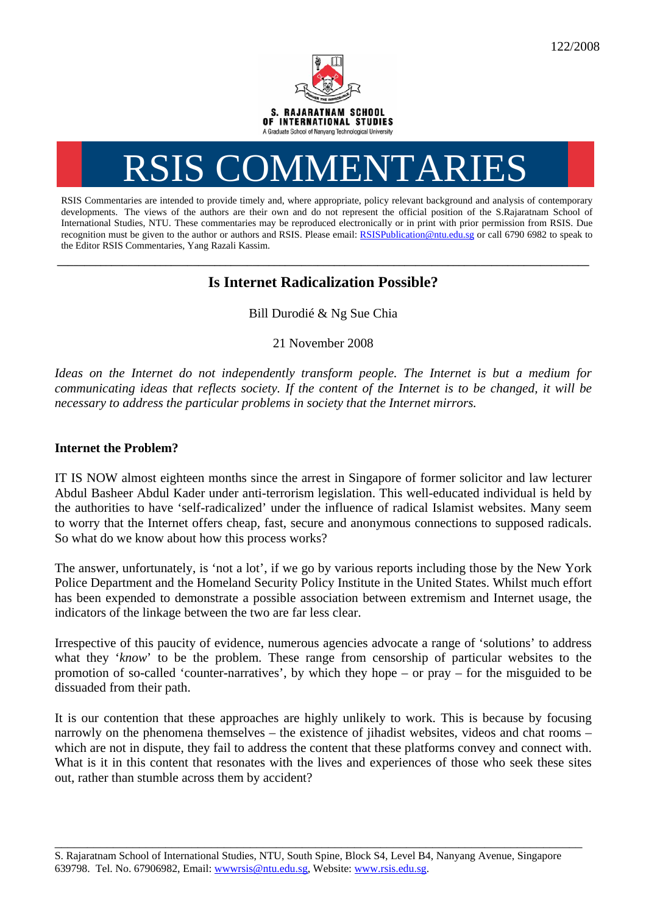

# RSIS COMMENTARIES

RSIS Commentaries are intended to provide timely and, where appropriate, policy relevant background and analysis of contemporary developments. The views of the authors are their own and do not represent the official position of the S.Rajaratnam School of International Studies, NTU. These commentaries may be reproduced electronically or in print with prior permission from RSIS. Due recognition must be given to the author or authors and RSIS. Please email: [RSISPublication@ntu.edu.sg](mailto:RSISPublication@ntu.edu.sg) or call 6790 6982 to speak to the Editor RSIS Commentaries, Yang Razali Kassim.

# **\_\_\_\_\_\_\_\_\_\_\_\_\_\_\_\_\_\_\_\_\_\_\_\_\_\_\_\_\_\_\_\_\_\_\_\_\_\_\_\_\_\_\_\_\_\_\_\_\_\_\_\_\_\_\_\_\_\_\_\_\_\_\_\_\_\_\_\_\_\_\_\_\_\_\_\_\_\_\_\_\_\_\_\_\_\_\_\_\_\_\_\_\_\_\_\_\_\_ Is Internet Radicalization Possible?**

Bill Durodié & Ng Sue Chia

21 November 2008

*Ideas on the Internet do not independently transform people. The Internet is but a medium for communicating ideas that reflects society. If the content of the Internet is to be changed, it will be necessary to address the particular problems in society that the Internet mirrors.* 

# **Internet the Problem?**

IT IS NOW almost eighteen months since the arrest in Singapore of former solicitor and law lecturer Abdul Basheer Abdul Kader under anti-terrorism legislation. This well-educated individual is held by the authorities to have 'self-radicalized' under the influence of radical Islamist websites. Many seem to worry that the Internet offers cheap, fast, secure and anonymous connections to supposed radicals. So what do we know about how this process works?

The answer, unfortunately, is 'not a lot', if we go by various reports including those by the New York Police Department and the Homeland Security Policy Institute in the United States. Whilst much effort has been expended to demonstrate a possible association between extremism and Internet usage, the indicators of the linkage between the two are far less clear.

Irrespective of this paucity of evidence, numerous agencies advocate a range of 'solutions' to address what they '*know*' to be the problem. These range from censorship of particular websites to the promotion of so-called 'counter-narratives', by which they hope – or pray – for the misguided to be dissuaded from their path.

It is our contention that these approaches are highly unlikely to work. This is because by focusing narrowly on the phenomena themselves – the existence of jihadist websites, videos and chat rooms – which are not in dispute, they fail to address the content that these platforms convey and connect with. What is it in this content that resonates with the lives and experiences of those who seek these sites out, rather than stumble across them by accident?

\_\_\_\_\_\_\_\_\_\_\_\_\_\_\_\_\_\_\_\_\_\_\_\_\_\_\_\_\_\_\_\_\_\_\_\_\_\_\_\_\_\_\_\_\_\_\_\_\_\_\_\_\_\_\_\_\_\_\_\_\_\_\_\_\_\_\_\_\_\_\_\_\_\_\_\_\_\_\_\_\_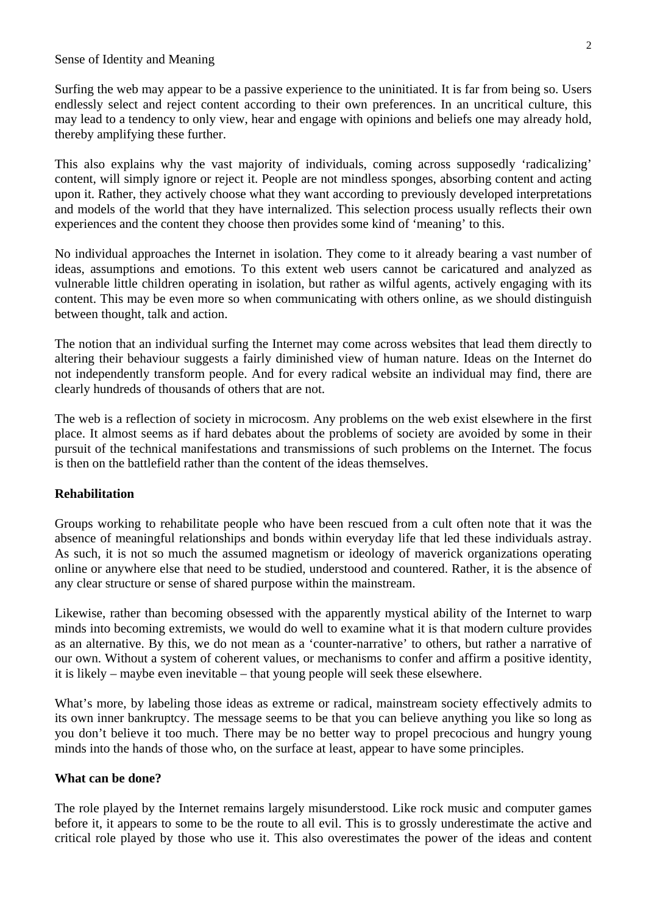#### Sense of Identity and Meaning

Surfing the web may appear to be a passive experience to the uninitiated. It is far from being so. Users endlessly select and reject content according to their own preferences. In an uncritical culture, this may lead to a tendency to only view, hear and engage with opinions and beliefs one may already hold, thereby amplifying these further.

This also explains why the vast majority of individuals, coming across supposedly 'radicalizing' content, will simply ignore or reject it. People are not mindless sponges, absorbing content and acting upon it. Rather, they actively choose what they want according to previously developed interpretations and models of the world that they have internalized. This selection process usually reflects their own experiences and the content they choose then provides some kind of 'meaning' to this.

No individual approaches the Internet in isolation. They come to it already bearing a vast number of ideas, assumptions and emotions. To this extent web users cannot be caricatured and analyzed as vulnerable little children operating in isolation, but rather as wilful agents, actively engaging with its content. This may be even more so when communicating with others online, as we should distinguish between thought, talk and action.

The notion that an individual surfing the Internet may come across websites that lead them directly to altering their behaviour suggests a fairly diminished view of human nature. Ideas on the Internet do not independently transform people. And for every radical website an individual may find, there are clearly hundreds of thousands of others that are not.

The web is a reflection of society in microcosm. Any problems on the web exist elsewhere in the first place. It almost seems as if hard debates about the problems of society are avoided by some in their pursuit of the technical manifestations and transmissions of such problems on the Internet. The focus is then on the battlefield rather than the content of the ideas themselves.

## **Rehabilitation**

Groups working to rehabilitate people who have been rescued from a cult often note that it was the absence of meaningful relationships and bonds within everyday life that led these individuals astray. As such, it is not so much the assumed magnetism or ideology of maverick organizations operating online or anywhere else that need to be studied, understood and countered. Rather, it is the absence of any clear structure or sense of shared purpose within the mainstream.

Likewise, rather than becoming obsessed with the apparently mystical ability of the Internet to warp minds into becoming extremists, we would do well to examine what it is that modern culture provides as an alternative. By this, we do not mean as a 'counter-narrative' to others, but rather a narrative of our own. Without a system of coherent values, or mechanisms to confer and affirm a positive identity, it is likely – maybe even inevitable – that young people will seek these elsewhere.

What's more, by labeling those ideas as extreme or radical, mainstream society effectively admits to its own inner bankruptcy. The message seems to be that you can believe anything you like so long as you don't believe it too much. There may be no better way to propel precocious and hungry young minds into the hands of those who, on the surface at least, appear to have some principles.

## **What can be done?**

The role played by the Internet remains largely misunderstood. Like rock music and computer games before it, it appears to some to be the route to all evil. This is to grossly underestimate the active and critical role played by those who use it. This also overestimates the power of the ideas and content